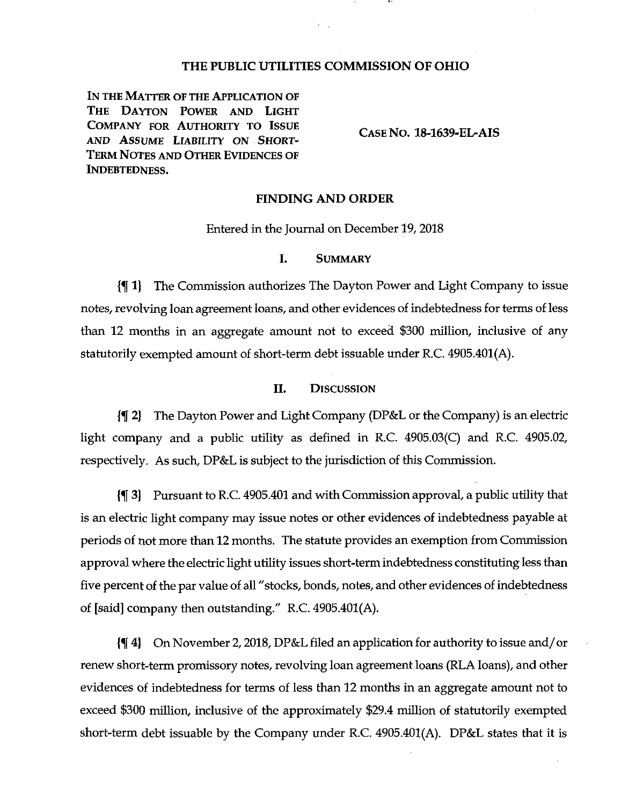# **THE PUBLIC UTILITIES COMMISSION OF OHIO**

**In the Matter of the Application of The Dayton Power and Light Company for Authority to Issue AND Assume Liability on Short-Term Notes and Other Evidences of Indebtedness.**

**Case No. 18-1639-EL-AIS**

#### FINDING AND ORDER

Entered in the Journal on December 19,2018

## I. Summary

{K1) The Commission authorizes The Dayton Power and Light Company to issue notes, revolving loan agreement loans, and other evidences of indebtedness for terms of less than 12 months in an aggregate amount not to exceed \$300 million, inclusive of any statutorily exempted amount of short-term debt issuable under R.C. 4905.401(A).

## II. Discussion

{1[ 2} The Dayton Power and Light Company (DP&L or the Company) is an electric light company and a public utility as defined in R.C. 4905.03(C) and R.C. 4905.02, respectively. As such, DP&L is subject to the jurisdiction of this Commission.

{f 3) Pursuant to R.C. 4905.401 and withCommission approval, a public utility that is an electric light company may issue notes or other evidences of indebtedness payable at periods of not more than 12 months. The statute provides an exemption from Commission approval where the electric light utility issues short-term indebtedness constituting less than five percent of the par value of all "stocks, bonds, notes, and other evidences of indebtedness of [said] company then outstanding." R.C. 4905.401(A).

If 4) On November 2,2018, DP&L filed an application for authority to issue and/or renew short-term promissory notes, revolving loan agreement loans (RLA loans), and other evidences of indebtedness for terms of less than 12 months in an aggregate amount not to exceed \$300 million, inclusive of the approximately \$29.4 million of statutorily exempted short-term debt issuable by the Company under R.C. 4905.401(A). DP&L states that it is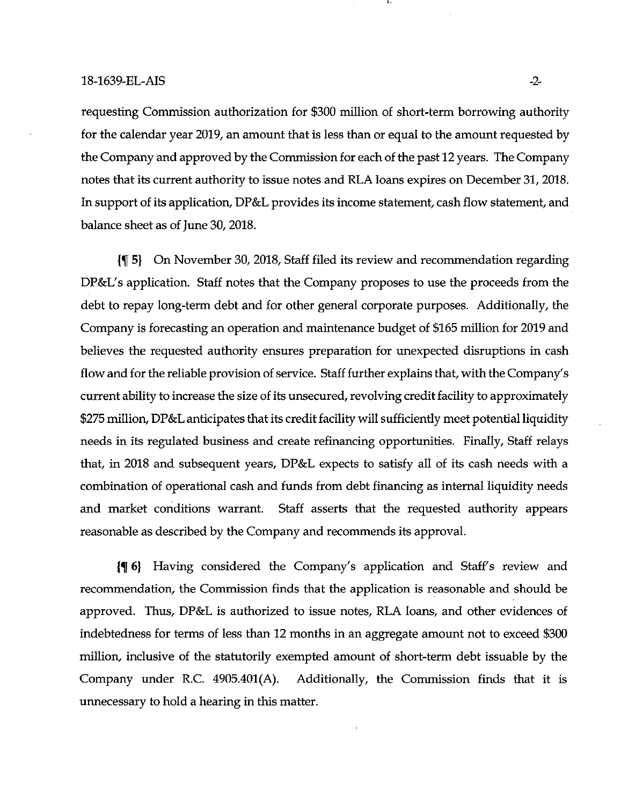requesting Commission authorization for \$300 million of short-term borrowing authority for the calendar year 2019, an amount that is less than or equal to the amount requested by the Company and approved by the Commission for each of the past 12 years. The Company notes that its current authority to issue notes and RLA loans expires on December 31,2018. In support of its application, DP&L provides its income statement, cash flow statement, and balance sheet as of June 30, 2018.

5) On November 30, 2018, Staff filed its review and recommendation regarding DP&L's application. Staff notes that the Company proposes to use the proceeds from the debt to repay long-term debt and for other general corporate purposes. Additionally, the Company is forecasting an operation and maintenance budget of \$165 million for 2019 and believes the requested authority ensures preparation for unexpected disruptions in cash flow and for the reliable provision of service. Staff further explains that, with the Company's current ability to increase the size of its unsecured, revolving credit facility to approximately \$275 million, DP&L anticipates that its credit facility will sufficiently meet potential liquidity needs in its regulated business and create refinancing opportunities. Finally, Staff relays that, in 2018 and subsequent years, DP&L expects to satisfy all of its cash needs with a combination of operational cash and funds from debt financing as internal liquidity needs and market conditions warrant. Staff asserts that the requested authority appears reasonable as described by the Company and recommends its approval.

6) Having considered the Company's application and Staff's review and recommendation, the Commission finds that the application is reasonable and should be approved. Thus, DP&L is authorized to issue notes, RLA loans, and other evidences of indebtedness for terms of less than 12 months in an aggregate amount not to exceed \$300 million, inclusive of the statutorily exempted amount of short-term debt issuable by the Company under R.C. 4905.401(A). Additionally, the Commission finds that it is unnecessary to hold a hearing in this matter.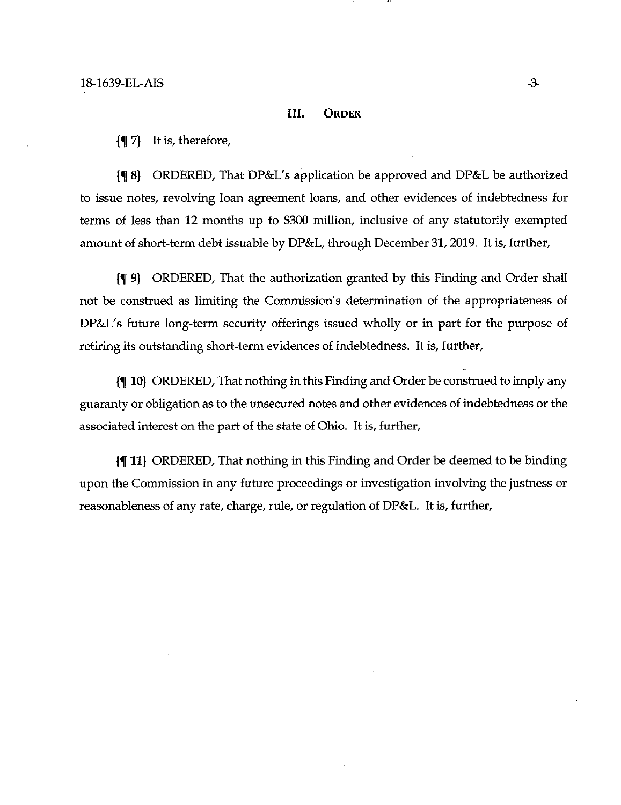#### III. **ORDER**

 $\{\P\}$  It is, therefore,

{f 8} ORDERED, That DP&L's application be approved and DP&L be authorized to issue notes, revolving loan agreement loans, and other evidences of indebtedness for terms of less than 12 months up to \$300 million, inclusive of any statutorily exempted amount of short-term debt issuable by DP&L, through December 31, 2019. It is, further,

(If 9} ORDERED, That the authorization granted by this Finding and Order shall not be construed as limiting the Commission's determination of the appropriateness of DP&L's future long-term security offerings issued wholly or in part for the purpose of retiring its outstanding short-term evidences of indebtedness. It is, further,

10) ORDERED, That nothing in this Finding and Order be construed to imply any guaranty or obligation asto the unsecured notes and other evidences of indebtedness or the associated interest on the part of the state of Ohio. It is, further,

{f 11} ORDERED, That nothing in this Finding and Order be deemed to be binding upon the Commission in any future proceedings or investigation involving the justness or reasonableness of any rate, charge, rule, or regulation of DP&L. It is, further.